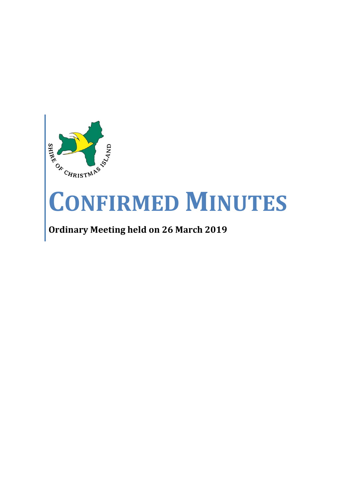

# **CONFIRMED MINUTES**

## **Ordinary Meeting held on 26 March 2019**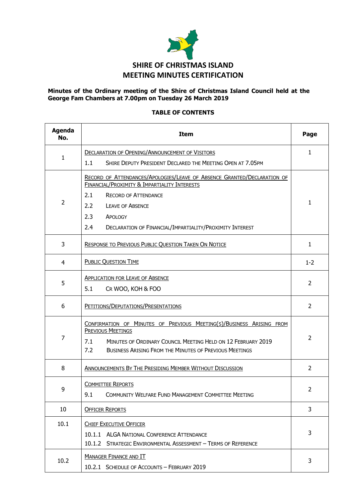

#### **Minutes of the Ordinary meeting of the Shire of Christmas Island Council held at the George Fam Chambers at 7.00pm on Tuesday 26 March 2019**

#### **TABLE OF CONTENTS**

| <b>Agenda</b><br>No. | <b>Item</b>                                                                                                                                                                                                                                     |                |  |
|----------------------|-------------------------------------------------------------------------------------------------------------------------------------------------------------------------------------------------------------------------------------------------|----------------|--|
| 1                    | <b>DECLARATION OF OPENING/ANNOUNCEMENT OF VISITORS</b>                                                                                                                                                                                          | 1              |  |
|                      | SHIRE DEPUTY PRESIDENT DECLARED THE MEETING OPEN AT 7.05PM<br>1.1                                                                                                                                                                               |                |  |
|                      | RECORD OF ATTENDANCES/APOLOGIES/LEAVE OF ABSENCE GRANTED/DECLARATION OF<br>FINANCIAL/PROXIMITY & IMPARTIALITY INTERESTS                                                                                                                         |                |  |
|                      | 2.1<br><b>RECORD OF ATTENDANCE</b>                                                                                                                                                                                                              |                |  |
| $\overline{2}$       | 2.2<br><b>LEAVE OF ABSENCE</b>                                                                                                                                                                                                                  | 1              |  |
|                      | 2.3<br>APOLOGY                                                                                                                                                                                                                                  |                |  |
|                      | 2.4<br>DECLARATION OF FINANCIAL/IMPARTIALITY/PROXIMITY INTEREST                                                                                                                                                                                 |                |  |
| 3                    | RESPONSE TO PREVIOUS PUBLIC QUESTION TAKEN ON NOTICE                                                                                                                                                                                            | 1              |  |
| 4                    | <b>PUBLIC QUESTION TIME</b>                                                                                                                                                                                                                     | $1 - 2$        |  |
|                      | <b>APPLICATION FOR LEAVE OF ABSENCE</b>                                                                                                                                                                                                         |                |  |
| 5                    | 5.1<br>CR WOO, KOH & FOO                                                                                                                                                                                                                        | $\overline{2}$ |  |
| 6                    | PETITIONS/DEPUTATIONS/PRESENTATIONS                                                                                                                                                                                                             | $\overline{2}$ |  |
| 7                    | CONFIRMATION OF MINUTES OF PREVIOUS MEETING(S)/BUSINESS ARISING FROM<br><b>PREVIOUS MEETINGS</b><br>7.1<br>MINUTES OF ORDINARY COUNCIL MEETING HELD ON 12 FEBRUARY 2019<br>7.2<br><b>BUSINESS ARISING FROM THE MINUTES OF PREVIOUS MEETINGS</b> | $\overline{2}$ |  |
| 8                    | <b>ANNOUNCEMENTS BY THE PRESIDING MEMBER WITHOUT DISCUSSION</b>                                                                                                                                                                                 | $\overline{2}$ |  |
| 9                    | <b>COMMITTEE REPORTS</b><br><b>COMMUNITY WELFARE FUND MANAGEMENT COMMITTEE MEETING</b><br>9.1                                                                                                                                                   | 2              |  |
| 10                   | <b>OFFICER REPORTS</b>                                                                                                                                                                                                                          | 3              |  |
| 10.1                 | <b>CHIEF EXECUTIVE OFFICER</b><br>10.1.1 ALGA NATIONAL CONFERENCE ATTENDANCE<br>10.1.2 STRATEGIC ENVIRONMENTAL ASSESSMENT - TERMS OF REFERENCE                                                                                                  | 3              |  |
| 10.2                 | <b>MANAGER FINANCE AND IT</b><br>10.2.1 SCHEDULE OF ACCOUNTS - FEBRUARY 2019                                                                                                                                                                    | 3              |  |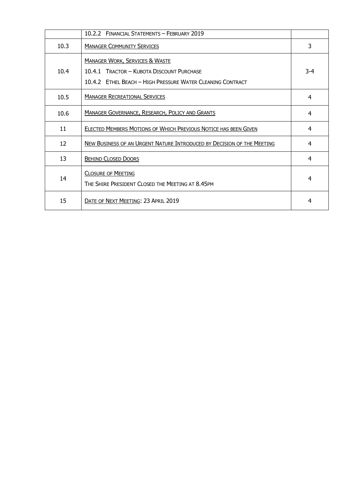|      | 10.2.2 FINANCIAL STATEMENTS - FEBRUARY 2019                                                                                                          |     |
|------|------------------------------------------------------------------------------------------------------------------------------------------------------|-----|
| 10.3 | <b>MANAGER COMMUNITY SERVICES</b>                                                                                                                    | 3   |
| 10.4 | <b>MANAGER WORK, SERVICES &amp; WASTE</b><br>10.4.1 TRACTOR - KUBOTA DISCOUNT PURCHASE<br>10.4.2 FTHEL BEACH - HIGH PRESSURE WATER CLEANING CONTRACT | 3-4 |
| 10.5 | <b>MANAGER RECREATIONAL SERVICES</b>                                                                                                                 | 4   |
| 10.6 | <b>MANAGER GOVERNANCE, RESEARCH, POLICY AND GRANTS</b>                                                                                               | 4   |
| 11   | ELECTED MEMBERS MOTIONS OF WHICH PREVIOUS NOTICE HAS BEEN GIVEN                                                                                      | 4   |
| 12   | NEW BUSINESS OF AN URGENT NATURE INTRODUCED BY DECISION OF THE MEETING                                                                               | 4   |
| 13   | <b>BEHIND CLOSED DOORS</b>                                                                                                                           | 4   |
| 14   | <b>CLOSURE OF MEETING</b><br>THE SHIRE PRESIDENT CLOSED THE MEETING AT 8.45PM                                                                        | 4   |
| 15   | DATE OF NEXT MEETING: 23 APRIL 2019                                                                                                                  | 4   |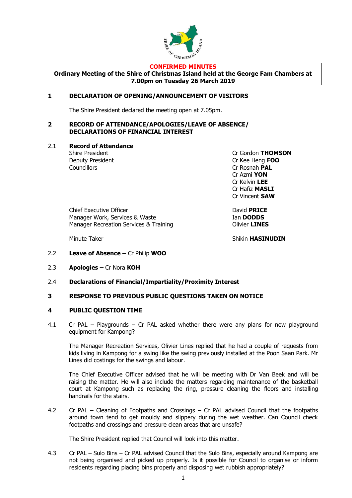

#### **CONFIRMED MINUTES**

**Ordinary Meeting of the Shire of Christmas Island held at the George Fam Chambers at 7.00pm on Tuesday 26 March 2019**

#### **1 DECLARATION OF OPENING/ANNOUNCEMENT OF VISITORS**

The Shire President declared the meeting open at 7.05pm.

#### **2 RECORD OF ATTENDANCE/APOLOGIES/LEAVE OF ABSENCE/ DECLARATIONS OF FINANCIAL INTEREST**

2.1 **Record of Attendance**

Deputy President Cr Kee Heng **FOO** Councillors Cr Rosnah **PAL**

Shire President Cr Gordon **THOMSON** Cr Azmi **YON** Cr Kelvin **LEE** Cr Hafiz **MASLI** Cr Vincent **SAW**

Chief Executive Officer **David PRICE** Manager Work, Services & Waste Ian **DODDS** Manager Recreation Services & Training **Contains Clivier LINES** 

Minute Taker **Shikin HASINUDIN** 

- 2.2 **Leave of Absence –** Cr Philip **WOO**
- 2.3 **Apologies –** Cr Nora **KOH**
- 2.4 **Declarations of Financial/Impartiality/Proximity Interest**
- **3 RESPONSE TO PREVIOUS PUBLIC QUESTIONS TAKEN ON NOTICE**

#### **4 PUBLIC QUESTION TIME**

4.1 Cr PAL – Playgrounds – Cr PAL asked whether there were any plans for new playground equipment for Kampong?

The Manager Recreation Services, Olivier Lines replied that he had a couple of requests from kids living in Kampong for a swing like the swing previously installed at the Poon Saan Park. Mr Lines did costings for the swings and labour.

The Chief Executive Officer advised that he will be meeting with Dr Van Beek and will be raising the matter. He will also include the matters regarding maintenance of the basketball court at Kampong such as replacing the ring, pressure cleaning the floors and installing handrails for the stairs.

4.2 Cr PAL – Cleaning of Footpaths and Crossings – Cr PAL advised Council that the footpaths around town tend to get mouldy and slippery during the wet weather. Can Council check footpaths and crossings and pressure clean areas that are unsafe?

The Shire President replied that Council will look into this matter.

4.3 Cr PAL – Sulo Bins – Cr PAL advised Council that the Sulo Bins, especially around Kampong are not being organised and picked up properly. Is it possible for Council to organise or inform residents regarding placing bins properly and disposing wet rubbish appropriately?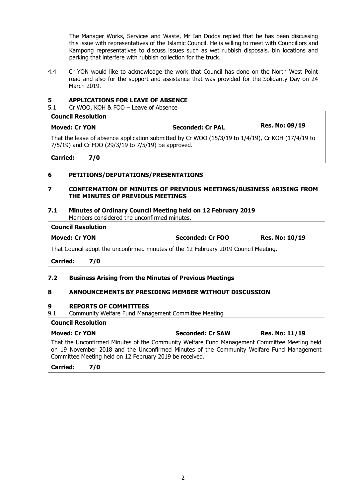The Manager Works, Services and Waste, Mr Ian Dodds replied that he has been discussing this issue with representatives of the Islamic Council. He is willing to meet with Councillors and Kampong representatives to discuss issues such as wet rubbish disposals, bin locations and parking that interfere with rubbish collection for the truck.

4.4 Cr YON would like to acknowledge the work that Council has done on the North West Point road and also for the support and assistance that was provided for the Solidarity Day on 24 March 2019.

#### **5 APPLICATIONS FOR LEAVE OF ABSENCE**

5.1 Cr WOO, KOH & FOO – Leave of Absence

| CUUIILII NGJUJULIUII |                                                                                                     |                       |
|----------------------|-----------------------------------------------------------------------------------------------------|-----------------------|
| <b>Moved: Cr YON</b> | Seconded: Cr PAL                                                                                    | <b>Res. No: 09/19</b> |
|                      | That the leave of absence application submitted by Cr WOO (15/3/10 to $1/4/19$ ) Cr KOH (17/4/10 to |                       |

That the leave of absence application submitted by Cr WOO (15/3/19 to 1/4/19), Cr KOH (17/4/19 to 7/5/19) and Cr FOO (29/3/19 to 7/5/19) be approved.

**Carried: 7/0**

**Council Resolution**

#### **6 PETITIONS/DEPUTATIONS/PRESENTATIONS**

#### **7 CONFIRMATION OF MINUTES OF PREVIOUS MEETINGS/BUSINESS ARISING FROM THE MINUTES OF PREVIOUS MEETINGS**

#### **7.1 Minutes of Ordinary Council Meeting held on 12 February 2019** Members considered the unconfirmed minutes.

#### **Council Resolution**

| <b>Moved: Cr YON</b> | <b>Seconded: Cr FOO</b> | <b>Res. No: 10/19</b> |
|----------------------|-------------------------|-----------------------|
|                      |                         |                       |

That Council adopt the unconfirmed minutes of the 12 February 2019 Council Meeting.

**Carried: 7/0**

#### **7.2 Business Arising from the Minutes of Previous Meetings**

#### **8 ANNOUNCEMENTS BY PRESIDING MEMBER WITHOUT DISCUSSION**

#### **9 REPORTS OF COMMITTEES**

9.1 Community Welfare Fund Management Committee Meeting

#### **Council Resolution**

| <b>Moved: Cr YON</b>                                                                         | <b>Seconded: Cr SAW</b> | <b>Res. No: 11/19</b> |
|----------------------------------------------------------------------------------------------|-------------------------|-----------------------|
| That the Unconfirmed Minutes of the Community Welfare Fund Management Committee Meeting held |                         |                       |
| on 19 November 2018 and the Unconfirmed Minutes of the Community Welfare Fund Management     |                         |                       |
| Committee Meeting held on 12 February 2019 be received.                                      |                         |                       |

#### **Carried: 7/0**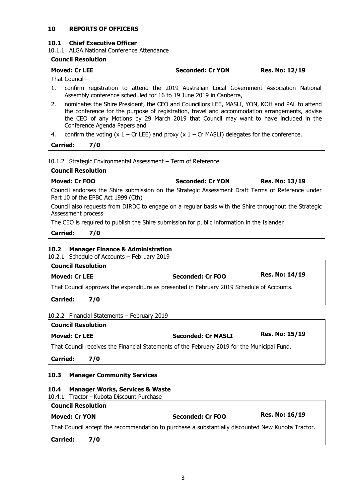#### **10 REPORTS OF OFFICERS**

#### **10.1 Chief Executive Officer**

10.1.1 ALGA National Conference Attendance

#### **Council Resolution**

**Moved: Cr LEE Seconded: Cr YON Res. No: 12/19**

That Council –

- 1. confirm registration to attend the 2019 Australian Local Government Association National Assembly conference scheduled for 16 to 19 June 2019 in Canberra,
- 2. nominates the Shire President, the CEO and Councillors LEE, MASLI, YON, KOH and PAL to attend the conference for the purpose of registration, travel and accommodation arrangements, advise the CEO of any Motions by 29 March 2019 that Council may want to have included in the Conference Agenda Papers and
- 4. confirm the voting  $(x 1 Cr$  LEE) and proxy  $(x 1 Cr$  MASLI) delegates for the conference.

**Carried: 7/0**

10.1.2 Strategic Environmental Assessment – Term of Reference

| <b>Council Resolution</b>                                                                                                   |                                                                                                  |                |  |  |
|-----------------------------------------------------------------------------------------------------------------------------|--------------------------------------------------------------------------------------------------|----------------|--|--|
| Moved: Cr FOO                                                                                                               | <b>Seconded: Cr YON</b>                                                                          | Res. No: 13/19 |  |  |
| Part 10 of the EPBC Act 1999 (Cth)                                                                                          | Council endorses the Shire submission on the Strategic Assessment Draft Terms of Reference under |                |  |  |
| Council also requests from DIRDC to engage on a regular basis with the Shire throughout the Strategic<br>Assessment process |                                                                                                  |                |  |  |
| The CEO is required to publish the Shire submission for public information in the Islander                                  |                                                                                                  |                |  |  |
| <b>Carried:</b><br>7/0                                                                                                      |                                                                                                  |                |  |  |
|                                                                                                                             |                                                                                                  |                |  |  |

#### **10.2 Manager Finance & Administration**

10.2.1 Schedule of Accounts – February 2019 **Council Resolution Moved: Cr LEE Seconded: Cr FOO Res. No: 14/19** That Council approves the expenditure as presented in February 2019 Schedule of Accounts.

**Carried: 7/0**

10.2.2 Financial Statements – February 2019

| <b>Council Resolution</b> |                           |                       |
|---------------------------|---------------------------|-----------------------|
| Moved: Cr LEE             | <b>Seconded: Cr MASLI</b> | <b>Res. No: 15/19</b> |

That Council receives the Financial Statements of the February 2019 for the Municipal Fund.

**Carried: 7/0**

#### **10.3 Manager Community Services**

#### **10.4 Manager Works, Services & Waste**

10.4.1 Tractor - Kubota Discount Purchase

| <b>Council Resolution</b>                                                                         |     |                  |                       |  |
|---------------------------------------------------------------------------------------------------|-----|------------------|-----------------------|--|
| <b>Moved: Cr YON</b>                                                                              |     | Seconded: Cr FOO | <b>Res. No: 16/19</b> |  |
| That Council accept the recommendation to purchase a substantially discounted New Kubota Tractor. |     |                  |                       |  |
| <b>Carried:</b>                                                                                   | 7/0 |                  |                       |  |